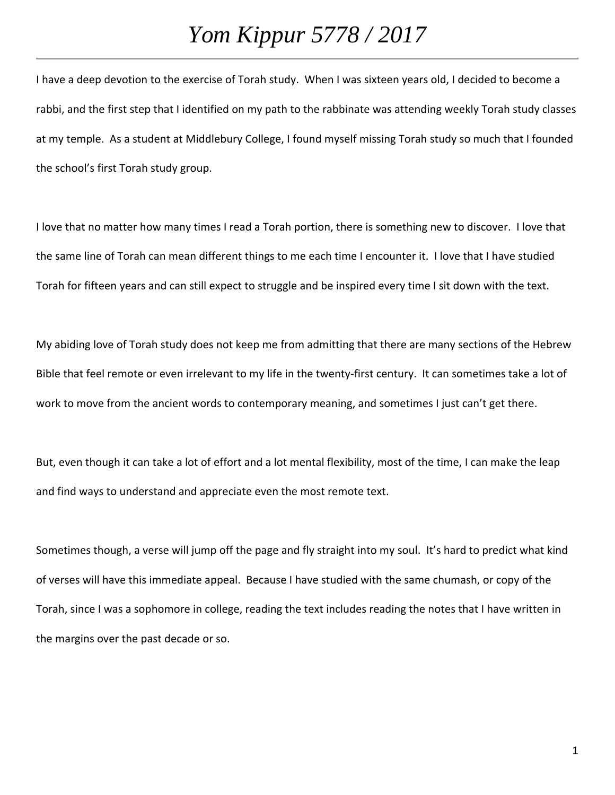I have a deep devotion to the exercise of Torah study. When I was sixteen years old, I decided to become a rabbi, and the first step that I identified on my path to the rabbinate was attending weekly Torah study classes at my temple. As a student at Middlebury College, I found myself missing Torah study so much that I founded the school's first Torah study group.

I love that no matter how many times I read a Torah portion, there is something new to discover. I love that the same line of Torah can mean different things to me each time I encounter it. I love that I have studied Torah for fifteen years and can still expect to struggle and be inspired every time I sit down with the text.

My abiding love of Torah study does not keep me from admitting that there are many sections of the Hebrew Bible that feel remote or even irrelevant to my life in the twenty-first century. It can sometimes take a lot of work to move from the ancient words to contemporary meaning, and sometimes I just can't get there.

But, even though it can take a lot of effort and a lot mental flexibility, most of the time, I can make the leap and find ways to understand and appreciate even the most remote text.

Sometimes though, a verse will jump off the page and fly straight into my soul. It's hard to predict what kind of verses will have this immediate appeal. Because I have studied with the same chumash, or copy of the Torah, since I was a sophomore in college, reading the text includes reading the notes that I have written in the margins over the past decade or so.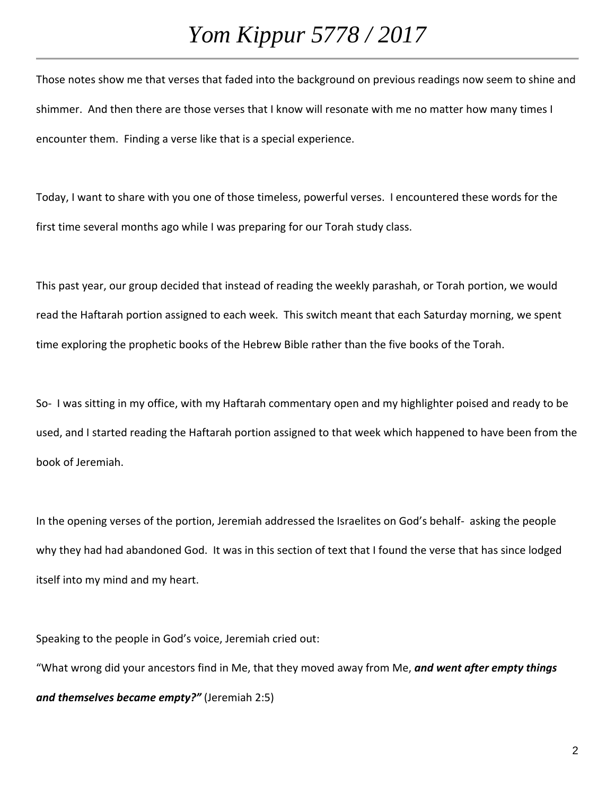Those notes show me that verses that faded into the background on previous readings now seem to shine and shimmer. And then there are those verses that I know will resonate with me no matter how many times I encounter them. Finding a verse like that is a special experience.

Today, I want to share with you one of those timeless, powerful verses. I encountered these words for the first time several months ago while I was preparing for our Torah study class.

This past year, our group decided that instead of reading the weekly parashah, or Torah portion, we would read the Haftarah portion assigned to each week. This switch meant that each Saturday morning, we spent time exploring the prophetic books of the Hebrew Bible rather than the five books of the Torah.

So- I was sitting in my office, with my Haftarah commentary open and my highlighter poised and ready to be used, and I started reading the Haftarah portion assigned to that week which happened to have been from the book of Jeremiah.

In the opening verses of the portion, Jeremiah addressed the Israelites on God's behalf- asking the people why they had had abandoned God. It was in this section of text that I found the verse that has since lodged itself into my mind and my heart.

Speaking to the people in God's voice, Jeremiah cried out:

"What wrong did your ancestors find in Me, that they moved away from Me, *and went after empty things and themselves became empty?"* (Jeremiah 2:5)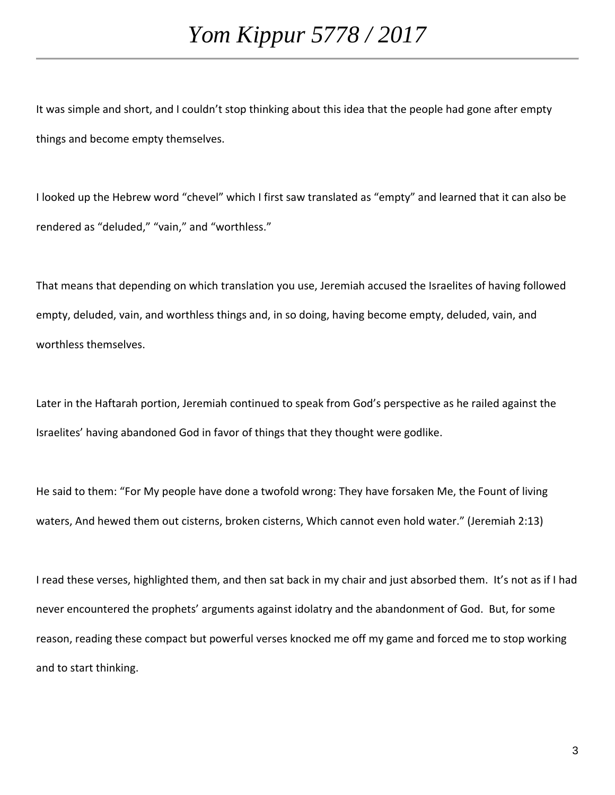It was simple and short, and I couldn't stop thinking about this idea that the people had gone after empty things and become empty themselves.

I looked up the Hebrew word "chevel" which I first saw translated as "empty" and learned that it can also be rendered as "deluded," "vain," and "worthless."

That means that depending on which translation you use, Jeremiah accused the Israelites of having followed empty, deluded, vain, and worthless things and, in so doing, having become empty, deluded, vain, and worthless themselves.

Later in the Haftarah portion, Jeremiah continued to speak from God's perspective as he railed against the Israelites' having abandoned God in favor of things that they thought were godlike.

He said to them: "For My people have done a twofold wrong: They have forsaken Me, the Fount of living waters, And hewed them out cisterns, broken cisterns, Which cannot even hold water." (Jeremiah 2:13)

I read these verses, highlighted them, and then sat back in my chair and just absorbed them. It's not as if I had never encountered the prophets' arguments against idolatry and the abandonment of God. But, for some reason, reading these compact but powerful verses knocked me off my game and forced me to stop working and to start thinking.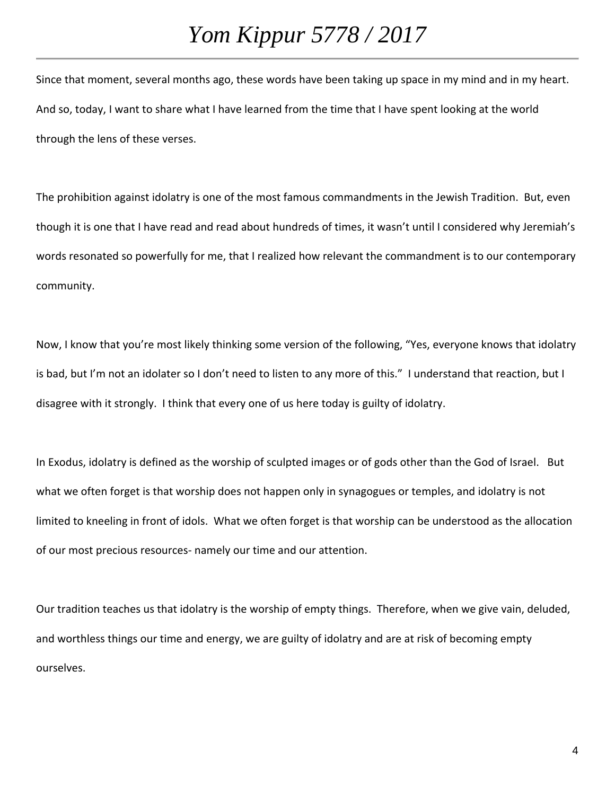Since that moment, several months ago, these words have been taking up space in my mind and in my heart. And so, today, I want to share what I have learned from the time that I have spent looking at the world through the lens of these verses.

The prohibition against idolatry is one of the most famous commandments in the Jewish Tradition. But, even though it is one that I have read and read about hundreds of times, it wasn't until I considered why Jeremiah's words resonated so powerfully for me, that I realized how relevant the commandment is to our contemporary community.

Now, I know that you're most likely thinking some version of the following, "Yes, everyone knows that idolatry is bad, but I'm not an idolater so I don't need to listen to any more of this." I understand that reaction, but I disagree with it strongly. I think that every one of us here today is guilty of idolatry.

In Exodus, idolatry is defined as the worship of sculpted images or of gods other than the God of Israel. But what we often forget is that worship does not happen only in synagogues or temples, and idolatry is not limited to kneeling in front of idols. What we often forget is that worship can be understood as the allocation of our most precious resources- namely our time and our attention.

Our tradition teaches us that idolatry is the worship of empty things. Therefore, when we give vain, deluded, and worthless things our time and energy, we are guilty of idolatry and are at risk of becoming empty ourselves.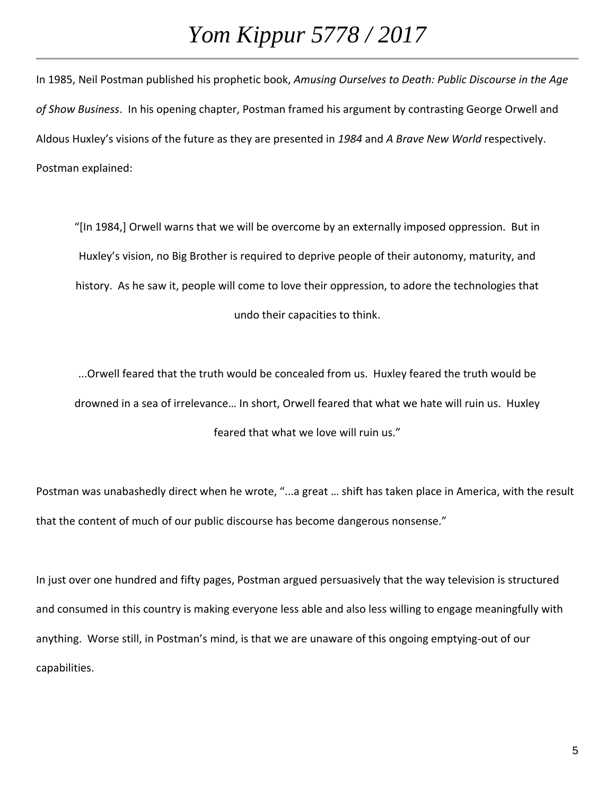In 1985, Neil Postman published his prophetic book, *Amusing Ourselves to Death: Public Discourse in the Age of Show Business*. In his opening chapter, Postman framed his argument by contrasting George Orwell and Aldous Huxley's visions of the future as they are presented in *1984* and *A Brave New World* respectively. Postman explained:

"[In 1984,] Orwell warns that we will be overcome by an externally imposed oppression. But in Huxley's vision, no Big Brother is required to deprive people of their autonomy, maturity, and history. As he saw it, people will come to love their oppression, to adore the technologies that undo their capacities to think.

...Orwell feared that the truth would be concealed from us. Huxley feared the truth would be drowned in a sea of irrelevance… In short, Orwell feared that what we hate will ruin us. Huxley feared that what we love will ruin us."

Postman was unabashedly direct when he wrote, "...a great … shift has taken place in America, with the result that the content of much of our public discourse has become dangerous nonsense."

In just over one hundred and fifty pages, Postman argued persuasively that the way television is structured and consumed in this country is making everyone less able and also less willing to engage meaningfully with anything. Worse still, in Postman's mind, is that we are unaware of this ongoing emptying-out of our capabilities.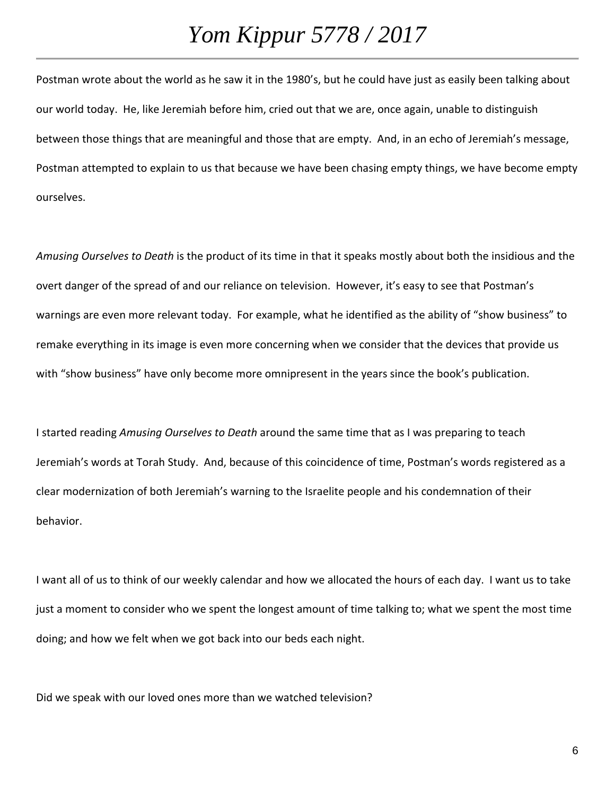Postman wrote about the world as he saw it in the 1980's, but he could have just as easily been talking about our world today. He, like Jeremiah before him, cried out that we are, once again, unable to distinguish between those things that are meaningful and those that are empty. And, in an echo of Jeremiah's message, Postman attempted to explain to us that because we have been chasing empty things, we have become empty ourselves.

*Amusing Ourselves to Death* is the product of its time in that it speaks mostly about both the insidious and the overt danger of the spread of and our reliance on television. However, it's easy to see that Postman's warnings are even more relevant today. For example, what he identified as the ability of "show business" to remake everything in its image is even more concerning when we consider that the devices that provide us with "show business" have only become more omnipresent in the years since the book's publication.

I started reading *Amusing Ourselves to Death* around the same time that as I was preparing to teach Jeremiah's words at Torah Study. And, because of this coincidence of time, Postman's words registered as a clear modernization of both Jeremiah's warning to the Israelite people and his condemnation of their behavior.

I want all of us to think of our weekly calendar and how we allocated the hours of each day. I want us to take just a moment to consider who we spent the longest amount of time talking to; what we spent the most time doing; and how we felt when we got back into our beds each night.

Did we speak with our loved ones more than we watched television?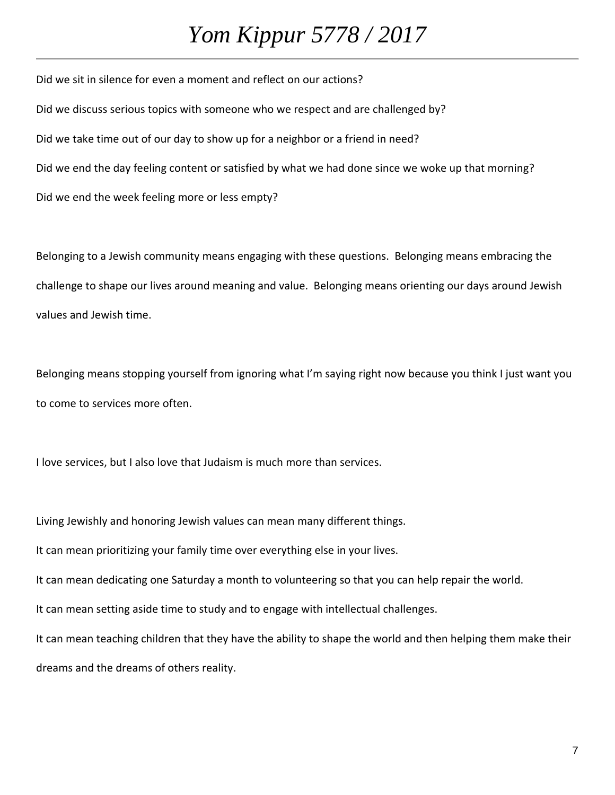Did we sit in silence for even a moment and reflect on our actions? Did we discuss serious topics with someone who we respect and are challenged by? Did we take time out of our day to show up for a neighbor or a friend in need? Did we end the day feeling content or satisfied by what we had done since we woke up that morning? Did we end the week feeling more or less empty?

Belonging to a Jewish community means engaging with these questions. Belonging means embracing the challenge to shape our lives around meaning and value. Belonging means orienting our days around Jewish values and Jewish time.

Belonging means stopping yourself from ignoring what I'm saying right now because you think I just want you to come to services more often.

I love services, but I also love that Judaism is much more than services.

Living Jewishly and honoring Jewish values can mean many different things.

It can mean prioritizing your family time over everything else in your lives.

It can mean dedicating one Saturday a month to volunteering so that you can help repair the world.

It can mean setting aside time to study and to engage with intellectual challenges.

It can mean teaching children that they have the ability to shape the world and then helping them make their dreams and the dreams of others reality.